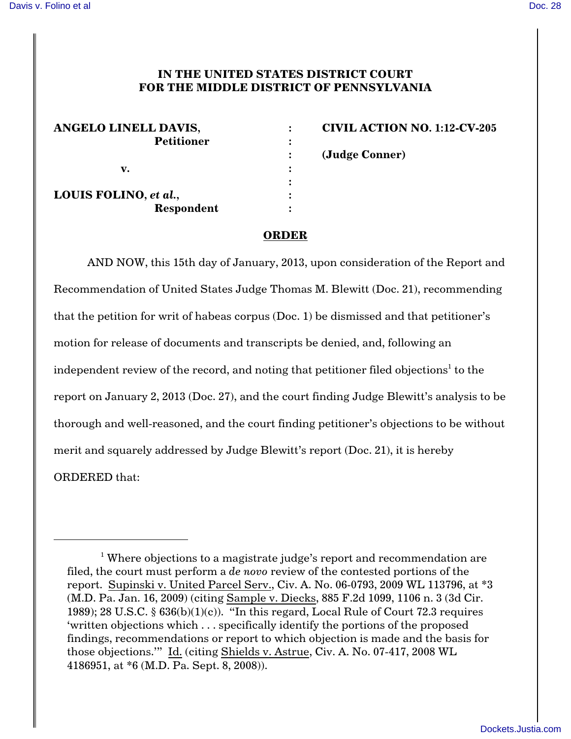## **IN THE UNITED STATES DISTRICT COURT FOR THE MIDDLE DISTRICT OF PENNSYLVANIA**

| ANGELO LINELL DAVIS,  |  |
|-----------------------|--|
| <b>Petitioner</b>     |  |
|                       |  |
| v.                    |  |
|                       |  |
| LOUIS FOLINO, et al., |  |
| Respondent            |  |

**ANGELO LINELL DAVIS, : CIVIL ACTION NO. 1:12-CV-205 : (Judge Conner)**

## **ORDER**

AND NOW, this 15th day of January, 2013, upon consideration of the Report and Recommendation of United States Judge Thomas M. Blewitt (Doc. 21), recommending that the petition for writ of habeas corpus (Doc. 1) be dismissed and that petitioner's motion for release of documents and transcripts be denied, and, following an independent review of the record, and noting that petitioner filed objections<sup>1</sup> to the report on January 2, 2013 (Doc. 27), and the court finding Judge Blewitt's analysis to be thorough and well-reasoned, and the court finding petitioner's objections to be without merit and squarely addressed by Judge Blewitt's report (Doc. 21), it is hereby ORDERED that:

<sup>&</sup>lt;sup>1</sup> Where objections to a magistrate judge's report and recommendation are filed, the court must perform a *de novo* review of the contested portions of the report. Supinski v. United Parcel Serv., Civ. A. No. 06-0793, 2009 WL 113796, at \*3 (M.D. Pa. Jan. 16, 2009) (citing Sample v. Diecks, 885 F.2d 1099, 1106 n. 3 (3d Cir. 1989); 28 U.S.C.  $\S$  636(b)(1)(c)). "In this regard, Local Rule of Court 72.3 requires 'written objections which . . . specifically identify the portions of the proposed findings, recommendations or report to which objection is made and the basis for those objections.'" Id. (citing Shields v. Astrue, Civ. A. No. 07-417, 2008 WL 4186951, at \*6 (M.D. Pa. Sept. 8, 2008)).